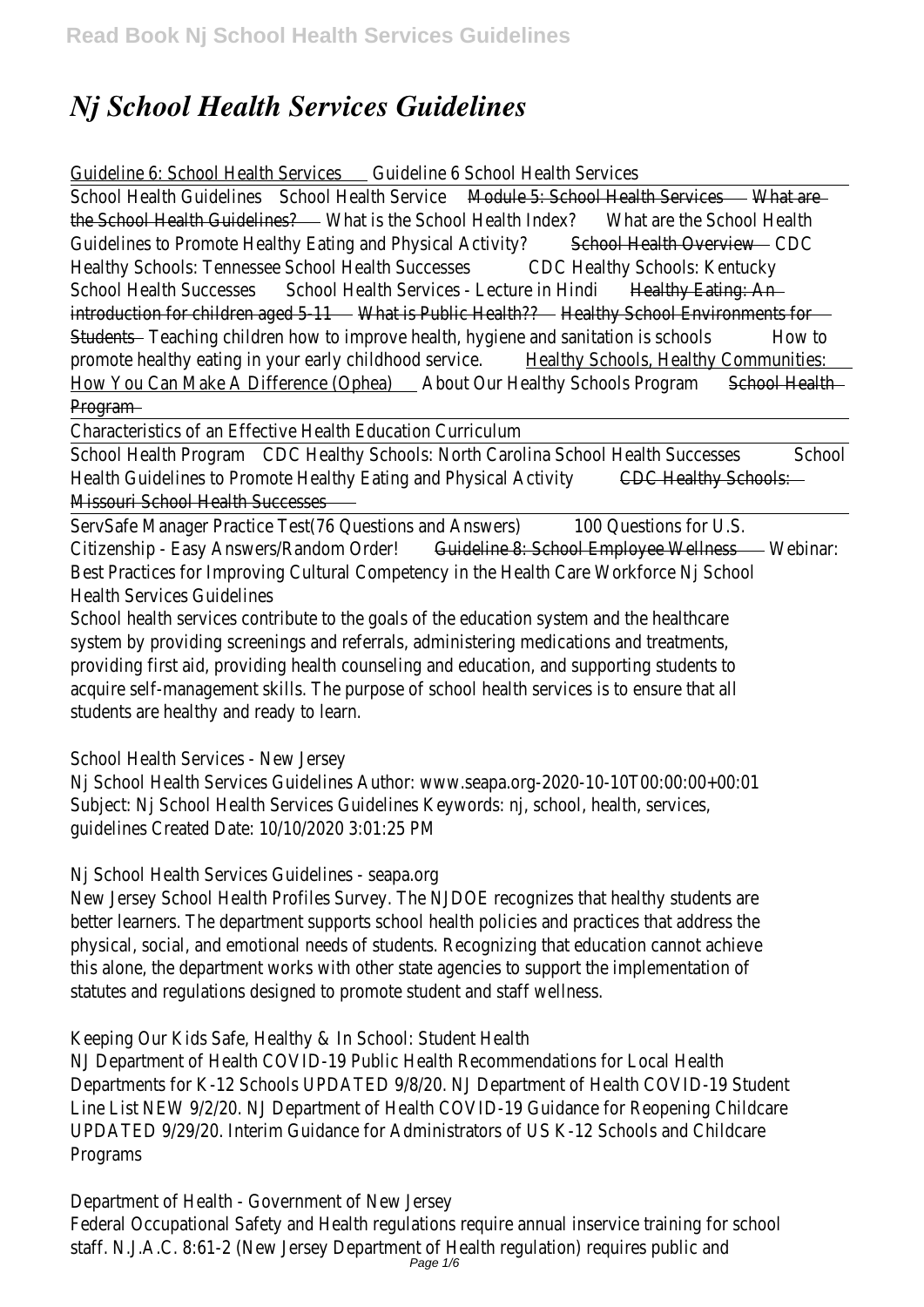## *Nj School Health Services Guidelines*

## Guideline 6: School Health Secuicesine 6 School Health Services

School Health Guidelines of Health Servicedule 5: School Health Servicats are the School Health Guidell West is the School Health What are the School Health Guidelines to Promote Healthy Eating and Physied Activity and Dverview Healthy Schools: Tennessee School Health Subcestesthy Schools: Kentucky School Health Successessool Health Services - Lecture Haalting iEating: An introduction for children age that is Public Health althe School Environments for Student Teaching children how to improve health, hygiene and sanitation to school promote healthy eating in your early childholoeal sterwich ools, Healthy Communities How You Can Make A Difference (Opphea) Ur Healthy Schools Program Health Program

Characteristics of an Effective Health Education Curriculum

School Health Procto Healthy Schools: North Carolina School Health Subcomesses Health Guidelines to Promote Healthy Eating and Physing Healthing Schools: Missouri School Health Successes

ServSafe Manager Practice Test(76 Questions and CAN Duestions for U.S. Citizenship - Easy Answers/Randon Guideline 8: School Employee Wellwedsinar: Best Practices for Improving Cultural Competency in the Health Care Workforce Health Services Guidelines

School health services contribute to the goals of the education system and the l system by providing screenings and referrals, administering medications and treat providing first aid, providing health counseling and education, and supporting stud acquire self-management skills. The purpose of school health services is to ensur students are healthy and ready to learn.

School Health Services - New Jersey

Nj School Health Services Guidelines Author: www.seapa.org-2020-10-10T00:00: Subject: Nj School Health Services Guidelines Keywords: nj, school, health, services guidelines Created Date: 10/10/2020 3:01:25 PM

Nj School Health Services Guidelines - seapa.org

New Jersey School Health Profiles Survey. The NJDOE recognizes that healthy stu better learners. The department supports school health policies and practices tha physical, social, and emotional needs of students. Recognizing that education can this alone, the department works with other state agencies to support the imple statutes and regulations designed to promote student and staff wellness.

Keeping Our Kids Safe, Healthy & In School: Student Health

NJ Department of Health COVID-19 Public Health Recommendations for Local Health Departments for K-12 Schools UPDATED 9/8/20. NJ Department of Health COVID Line List NEW 9/2/20. NJ Department of Health COVID-19 Guidance for Reopening UPDATED 9/29/20. Interim Guidance for Administrators of US K-12 Schools and O Programs

Department of Health - Government of New Jersey Federal Occupational Safety and Health regulations require annual inservice traini staff. N.J.A.C. 8:61-2 (New Jersey Department of Health regulation) requires publ<br>Page 1/6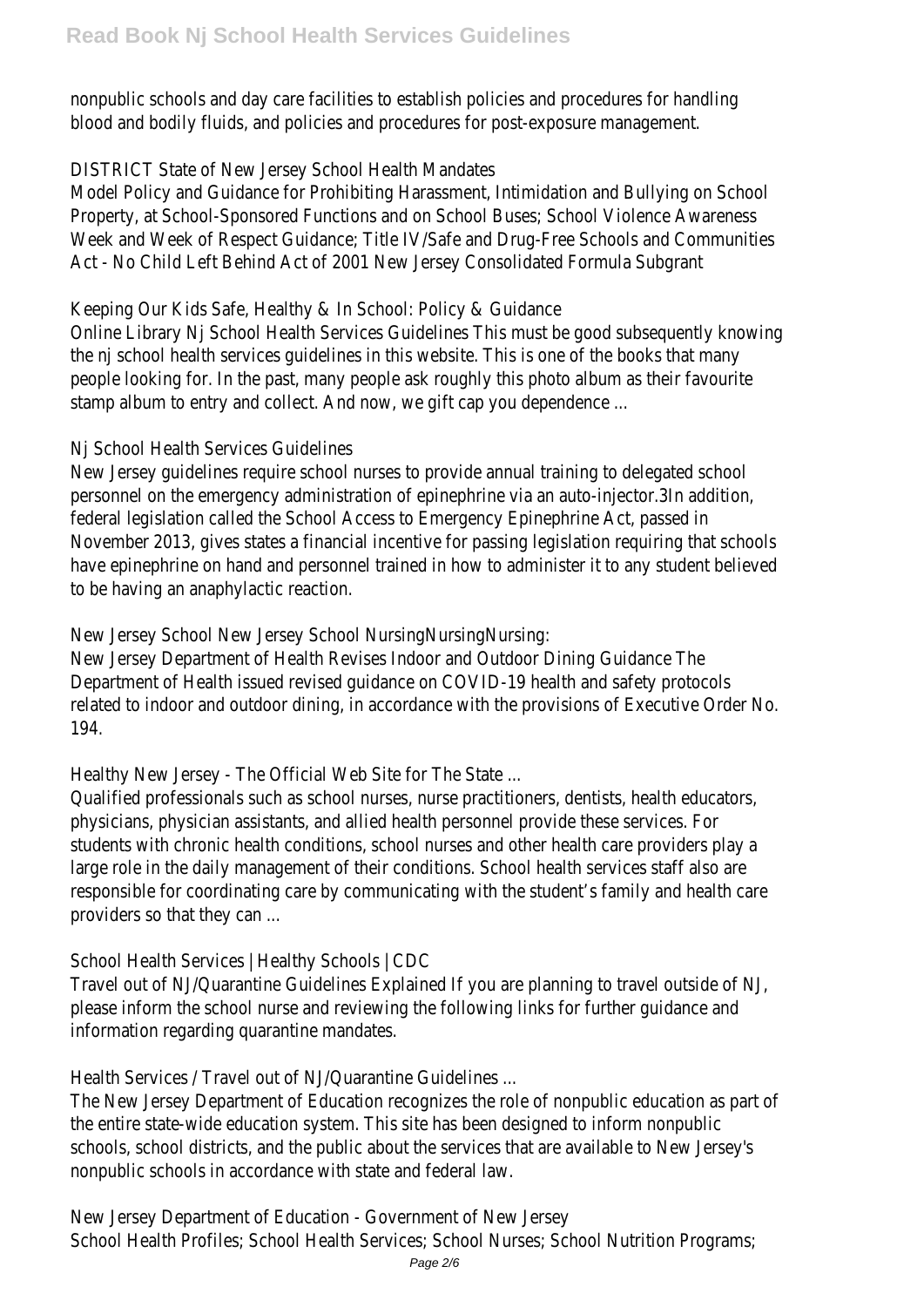nonpublic schools and day care facilities to establish policies and procedures for blood and bodily fluids, and policies and procedures for post-exposure management

DISTRICT State of New Jersey School Health Mandates

Model Policy and Guidance for Prohibiting Harassment, Intimidation and Bullying c Property, at School-Sponsored Functions and on School Buses; School Violence Ay Week and Week of Respect Guidance; Title IV/Safe and Drug-Free Schools and Co Act - No Child Left Behind Act of 2001 New Jersey Consolidated Formula Subgra

Keeping Our Kids Safe, Healthy & In School: Policy & Guidance

Online Library Ni School Health Services Guidelines This must be good subsequent the nj school health services quidelines in this website. This is one of the books people looking for. In the past, many people ask roughly this photo album as their stamp album to entry and collect. And now, we gift cap you dependence ...

Nj School Health Services Guidelines

New Jersey quidelines require school nurses to provide annual training to delegat personnel on the emergency administration of epinephrine via an auto-injector.3In federal legislation called the School Access to Emergency Epinephrine Act, passed November 2013, gives states a financial incentive for passing legislation requiring have epinephrine on hand and personnel trained in how to administer it to any st to be having an anaphylactic reaction.

New Jersey School New Jersey School NursingNursingNursing:

New Jersey Department of Health Revises Indoor and Outdoor Dining Guidance The Department of Health issued revised quidance on COVID-19 health and safety pro related to indoor and outdoor dining, in accordance with the provisions of Executive order A 194.

Healthy New Jersey - The Official Web Site for The State ...

Qualified professionals such as school nurses, nurse practitioners, dentists, healt physicians, physician assistants, and allied health personnel provide these service students with chronic health conditions, school nurses and other health care pro large role in the daily management of their conditions. School health services sta responsible for coordinating care by communicating with the student's family and providers so that they can ...

School Health Services | Healthy Schools | CDC

Travel out of NJ/Quarantine Guidelines Explained If you are planning to travel out please inform the school nurse and reviewing the following links for further guida information regarding quarantine mandates.

Health Services / Travel out of NJ/Quarantine Guidelines ...

The New Jersey Department of Education recognizes the role of nonpublic education as the entire state-wide education system. This site has been designed to inform no schools, school districts, and the public about the services that are available to I nonpublic schools in accordance with state and federal law.

New Jersey Department of Education - Government of New Jersey

School Health Profiles; School Health Services; School Nurses; School Nutrition Pr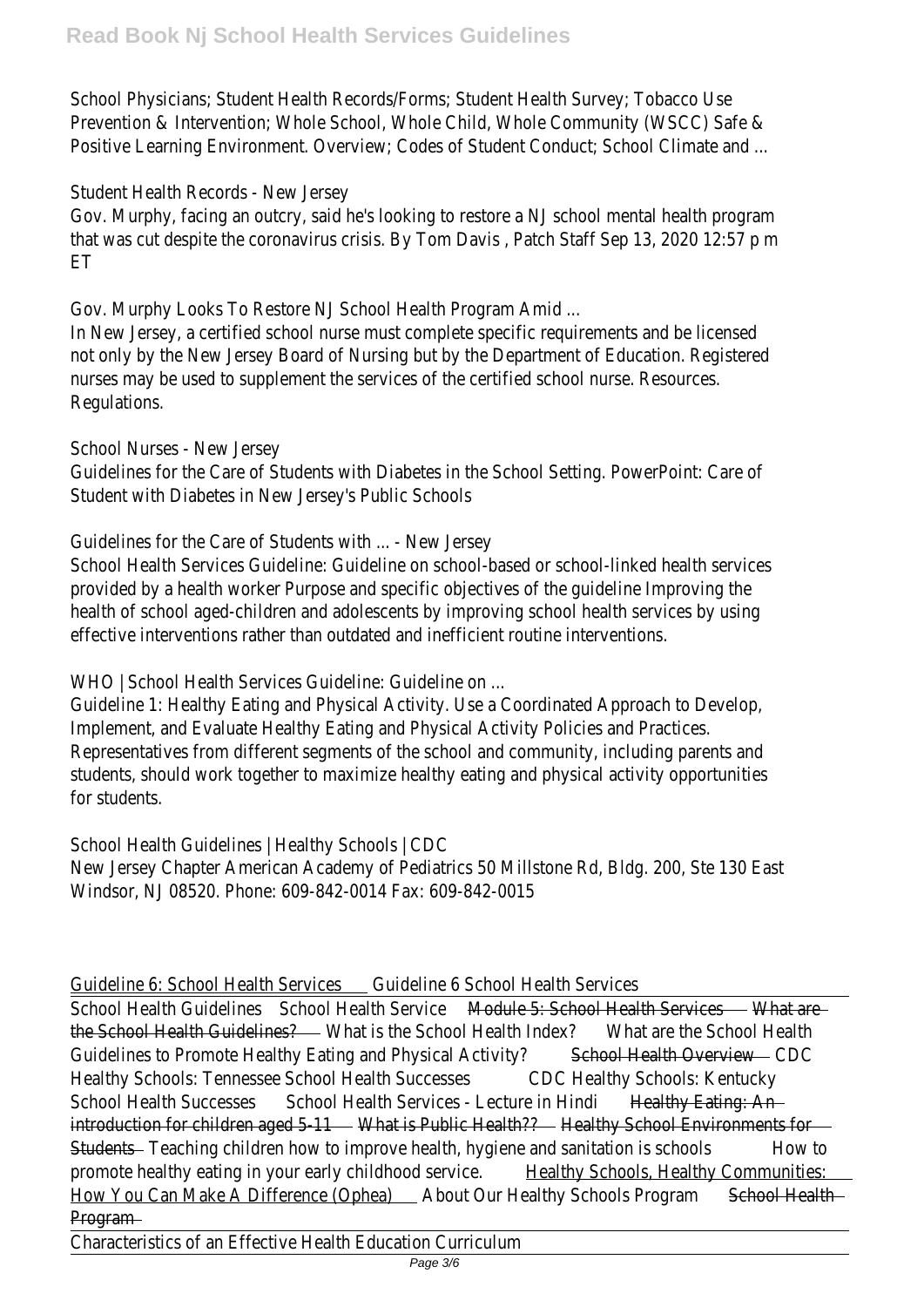School Physicians; Student Health Records/Forms; Student Health Survey; Tobacc Prevention & Intervention; Whole School, Whole Child, Whole Community (WSCC) Positive Learning Environment. Overview; Codes of Student Conduct; School Climat

## Student Health Records - New Jersey

Gov. Murphy, facing an outcry, said he's looking to restore a NJ school mental he that was cut despite the coronavirus crisis. By Tom Davis, Patch Staff Sep 13, 2 **FT** 

Gov. Murphy Looks To Restore NJ School Health Program Amid ...

In New Jersey, a certified school nurse must complete specific requirements and not only by the New Jersey Board of Nursing but by the Department of Educatio nurses may be used to supplement the services of the certified school nurse. Re Regulations.

School Nurses - New Jersey

Guidelines for the Care of Students with Diabetes in the School Setting. PowerPo Student with Diabetes in New Jersey's Public Schools

Guidelines for the Care of Students with ... - New Jersey

School Health Services Guideline: Guideline on school-based or school-linked health provided by a health worker Purpose and specific objectives of the quideline Improving the the health of school aged-children and adolescents by improving school health service effective interventions rather than outdated and inefficient routine interventions.

WHO | School Health Services Guideline: Guideline on ...

Guideline 1: Healthy Eating and Physical Activity. Use a Coordinated Approach to I Implement, and Evaluate Healthy Eating and Physical Activity Policies and Practice Representatives from different segments of the school and community, including students, should work together to maximize healthy eating and physical activity for students.

School Health Guidelines | Healthy Schools | CDC New Jersey Chapter American Academy of Pediatrics 50 Millstone Rd, Bldg. 200, Windsor, NJ 08520. Phone: 609-842-0014 Fax: 609-842-0015

Guideline 6: School Health Secuicesine 6 School Health Services

School Health Guidelines of Health Servicedule 5: School Health Servicets are the School Health Guidell West is the School Health What are the School Health Guidelines to Promote Healthy Eating and Physical Activity Ath Overview Healthy Schools: Tennessee School Health Subcestesthy Schools: Kentucky School Health Successessool Health Services - Lecture Healting iEating: An introduction for children age that is Public Health althous School Environments for Student Teaching children how to improve health, hygiene and sanitation to school promote healthy eating in your early childhoteal stangle hools, Healthy Communities How You Can Make A Difference (Opphea) Ur Healthy Schools Prechand Health **Program** 

Characteristics of an Effective Health Education Curriculum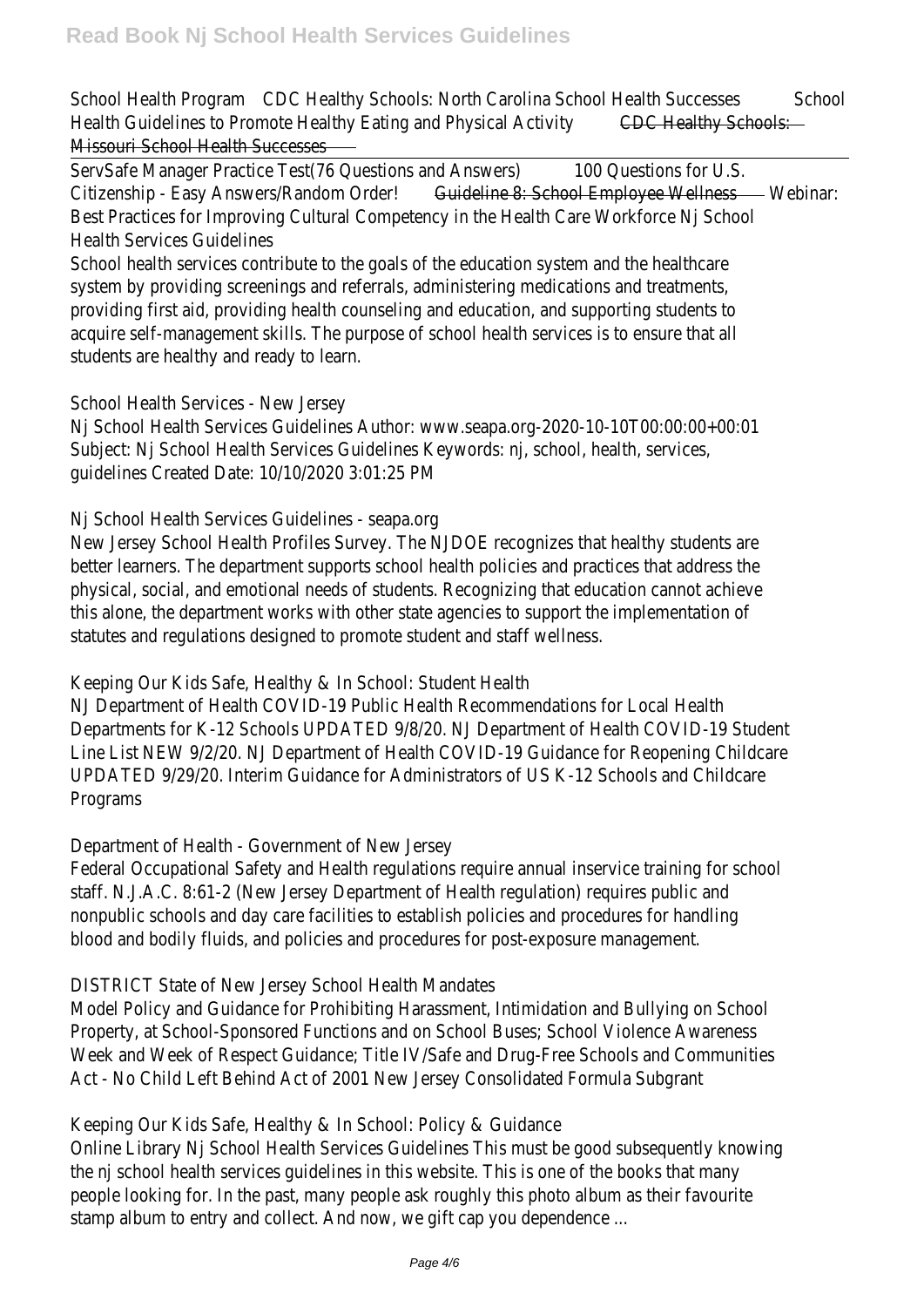School Health Proctam Healthy Schools: North Carolina School Health Sultomelsses Health Guidelines to Promote Healthy Eating and Physing Heatthing Schools: Missouri School Health Successes

ServSafe Manager Practice Test(76 Questions and CAN Duestions for U.S. Citizenship - Easy Answers/Randon Guideline 8: School Employee Wellwedsisar: Best Practices for Improving Cultural Competency in the Health Care Workforce Health Services Guidelines

School health services contribute to the goals of the education system and the l system by providing screenings and referrals, administering medications and treat providing first aid, providing health counseling and education, and supporting students acquire self-management skills. The purpose of school health services is to ensur students are healthy and ready to learn.

School Health Services - New Jersey

Nj School Health Services Guidelines Author: www.seapa.org-2020-10-10T00:00: Subject: Nj School Health Services Guidelines Keywords: nj, school, health, service guidelines Created Date: 10/10/2020 3:01:25 PM

Nj School Health Services Guidelines - seapa.org

New Jersey School Health Profiles Survey. The NJDOE recognizes that healthy students better learners. The department supports school health policies and practices that physical, social, and emotional needs of students. Recognizing that education can this alone, the department works with other state agencies to support the imple statutes and regulations designed to promote student and staff wellness.

Keeping Our Kids Safe, Healthy & In School: Student Health

NJ Department of Health COVID-19 Public Health Recommendations for Local Health Departments for K-12 Schools UPDATED 9/8/20. NJ Department of Health COVID Line List NEW 9/2/20. NJ Department of Health COVID-19 Guidance for Reopening UPDATED 9/29/20. Interim Guidance for Administrators of US K-12 Schools and C Programs

Department of Health - Government of New Jersey

Federal Occupational Safety and Health regulations reguire annual inservice traini staff. N.J.A.C. 8:61-2 (New Jersey Department of Health regulation) reguires publi nonpublic schools and day care facilities to establish policies and procedures for blood and bodily fluids, and policies and procedures for post-exposure management

DISTRICT State of New Jersey School Health Mandates

Model Policy and Guidance for Prohibiting Harassment, Intimidation and Bullying on Property, at School-Sponsored Functions and on School Buses; School Violence Ay Week and Week of Respect Guidance; Title IV/Safe and Drug-Free Schools and Co Act - No Child Left Behind Act of 2001 New Jersey Consolidated Formula Subgra

Keeping Our Kids Safe, Healthy & In School: Policy & Guidance

Online Library Ni School Health Services Guidelines This must be good subsequent the nj school health services quidelines in this website. This is one of the books people looking for. In the past, many people ask roughly this photo album as their stamp album to entry and collect. And now, we gift cap you dependence ...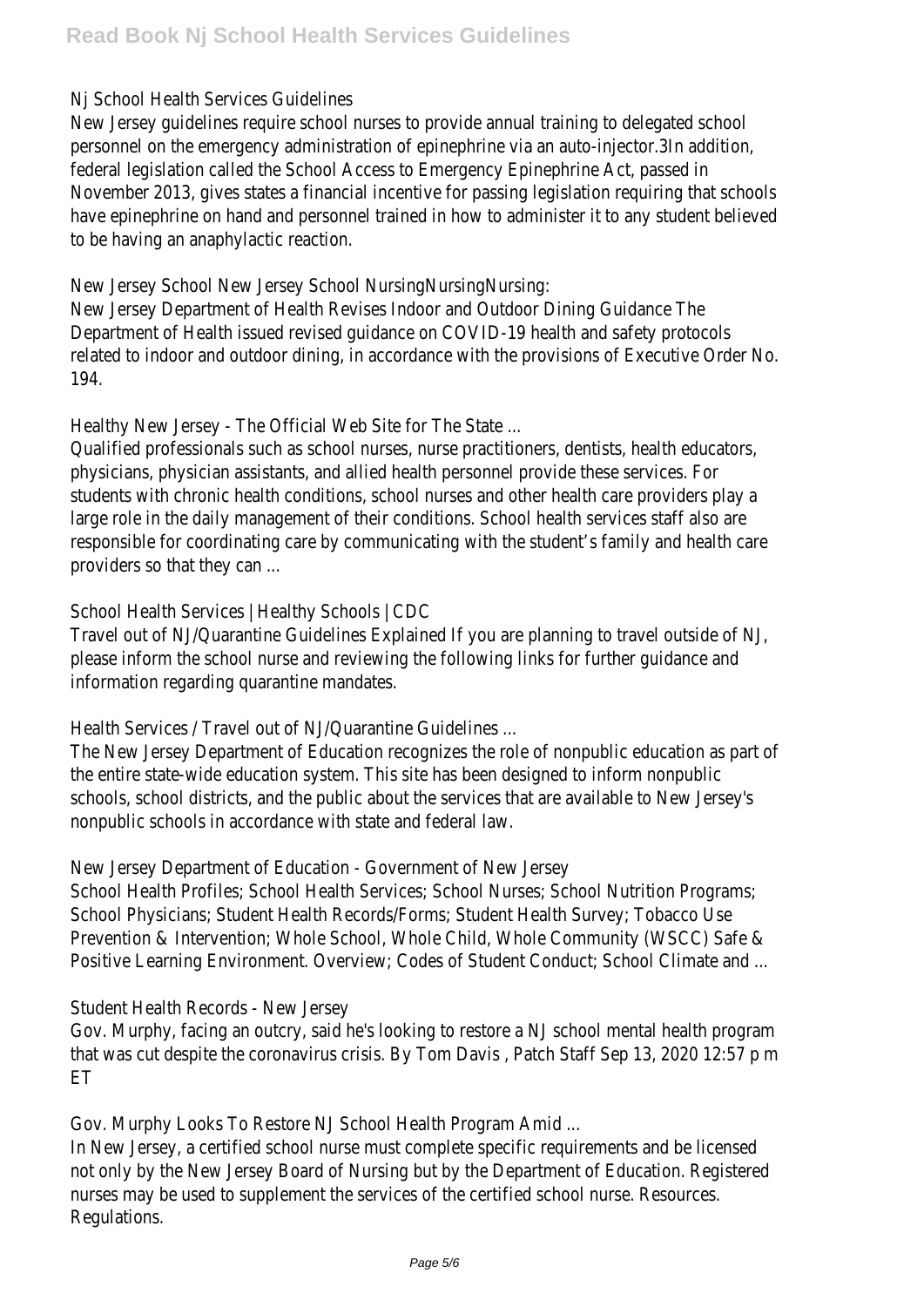## Nj School Health Services Guidelines

New Jersey guidelines require school nurses to provide annual training to delegat personnel on the emergency administration of epinephrine via an auto-injector.3In federal legislation called the School Access to Emergency Epinephrine Act, passed November 2013, gives states a financial incentive for passing legislation requiring have epinephrine on hand and personnel trained in how to administer it to any st to be having an anaphylactic reaction.

New Jersey School New Jersey School NursingNursingNursing:

New Jersey Department of Health Revises Indoor and Outdoor Dining Guidance The Department of Health issued revised quidance on COVID-19 health and safety pro related to indoor and outdoor dining, in accordance with the provisions of Executive order A 194.

Healthy New Jersey - The Official Web Site for The State ...

Qualified professionals such as school nurses, nurse practitioners, dentists, healt physicians, physician assistants, and allied health personnel provide these service students with chronic health conditions, school nurses and other health care pro large role in the daily management of their conditions. School health services sta responsible for coordinating care by communicating with the student's family and providers so that they can ...

School Health Services | Healthy Schools | CDC

Travel out of NJ/Quarantine Guidelines Explained If you are planning to travel out please inform the school nurse and reviewing the following links for further quida information regarding quarantine mandates.

Health Services / Travel out of NJ/Quarantine Guidelines ...

The New Jersey Department of Education recognizes the role of nonpublic education as the entire state-wide education system. This site has been designed to inform no schools, school districts, and the public about the services that are available to I nonpublic schools in accordance with state and federal law.

New Jersey Department of Education - Government of New Jersey

School Health Profiles; School Health Services; School Nurses; School Nutrition Pr School Physicians; Student Health Records/Forms; Student Health Survey; Tobacc Prevention & Intervention; Whole School, Whole Child, Whole Community (WSCC) Positive Learning Environment. Overview; Codes of Student Conduct; School Clima

Student Health Records - New Jersey

Gov. Murphy, facing an outcry, said he's looking to restore a NJ school mental he that was cut despite the coronavirus crisis. By Tom Davis, Patch Staff Sep 13, 2 ET

Gov. Murphy Looks To Restore NJ School Health Program Amid ...

In New Jersey, a certified school nurse must complete specific requirements and not only by the New Jersey Board of Nursing but by the Department of Educatio nurses may be used to supplement the services of the certified school nurse. Re Regulations.